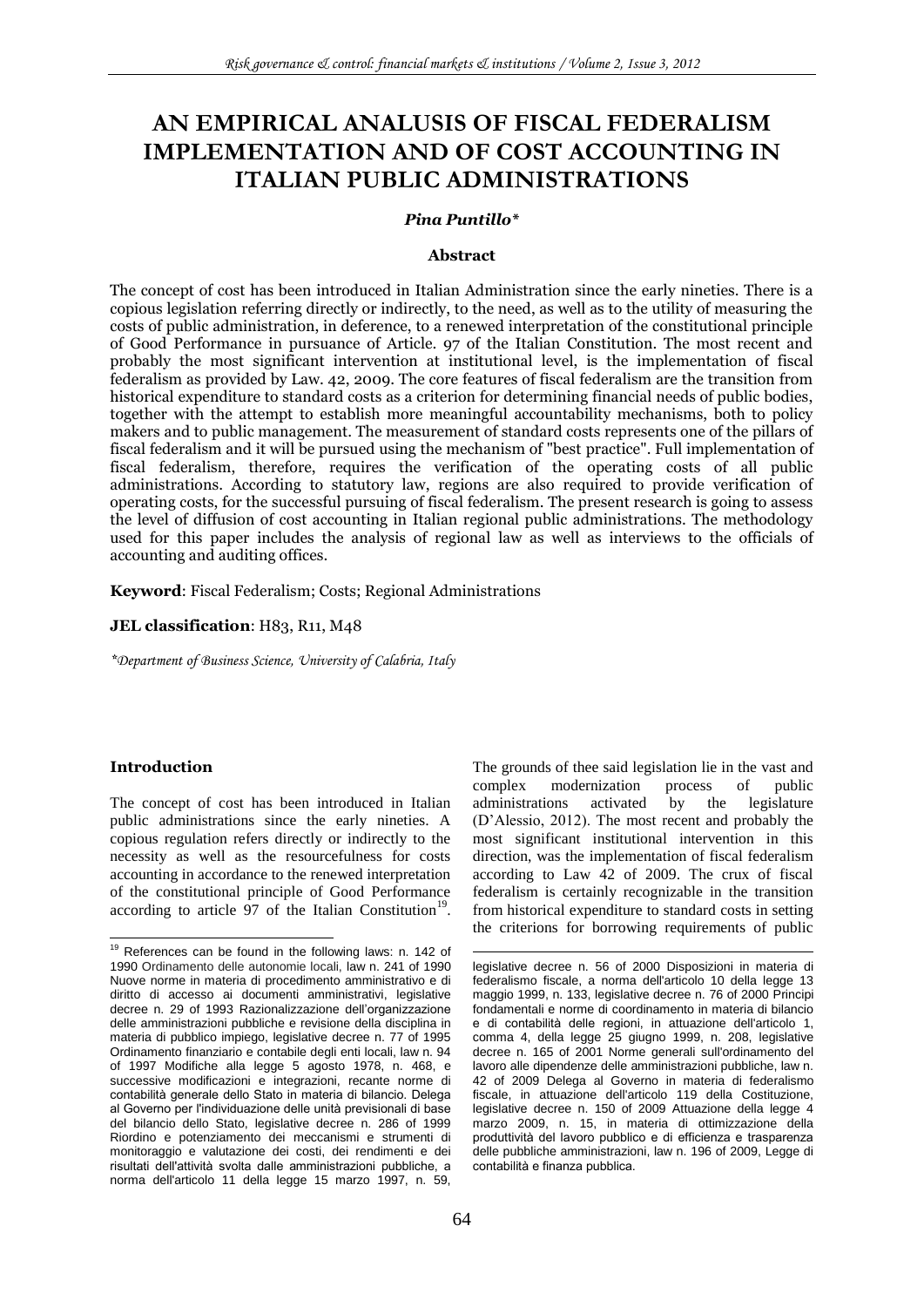# **AN EMPIRICAL ANALUSIS OF FISCAL FEDERALISM IMPLEMENTATION AND OF COST ACCOUNTING IN ITALIAN PUBLIC ADMINISTRATIONS**

### *Pina Puntillo\**

#### **Abstract**

The concept of cost has been introduced in Italian Administration since the early nineties. There is a copious legislation referring directly or indirectly, to the need, as well as to the utility of measuring the costs of public administration, in deference, to a renewed interpretation of the constitutional principle of Good Performance in pursuance of Article. 97 of the Italian Constitution. The most recent and probably the most significant intervention at institutional level, is the implementation of fiscal federalism as provided by Law. 42, 2009. The core features of fiscal federalism are the transition from historical expenditure to standard costs as a criterion for determining financial needs of public bodies, together with the attempt to establish more meaningful accountability mechanisms, both to policy makers and to public management. The measurement of standard costs represents one of the pillars of fiscal federalism and it will be pursued using the mechanism of "best practice". Full implementation of fiscal federalism, therefore, requires the verification of the operating costs of all public administrations. According to statutory law, regions are also required to provide verification of operating costs, for the successful pursuing of fiscal federalism. The present research is going to assess the level of diffusion of cost accounting in Italian regional public administrations. The methodology used for this paper includes the analysis of regional law as well as interviews to the officials of accounting and auditing offices.

**Keyword**: Fiscal Federalism; Costs; Regional Administrations

#### JEL classification: H83, R11, M48

*\*Department of Business Science, University of Calabria, Italy*

### **Introduction**

The concept of cost has been introduced in Italian public administrations since the early nineties. A copious regulation refers directly or indirectly to the necessity as well as the resourcefulness for costs accounting in accordance to the renewed interpretation of the constitutional principle of Good Performance according to article  $97$  of the Italian Constitution<sup>19</sup>. The grounds of thee said legislation lie in the vast and<br>complex modernization process of public complex modernization process of public administrations activated by the legislature (D"Alessio, 2012). The most recent and probably the most significant institutional intervention in this direction, was the implementation of fiscal federalism according to Law 42 of 2009. The crux of fiscal federalism is certainly recognizable in the transition from historical expenditure to standard costs in setting the criterions for borrowing requirements of public

-

 $\overline{a}$  $19$  References can be found in the following laws: n. 142 of 1990 Ordinamento delle autonomie locali, law n. 241 of 1990 Nuove norme in materia di procedimento amministrativo e di diritto di accesso ai documenti amministrativi, legislative decree n. 29 of 1993 Razionalizzazione dell'organizzazione delle amministrazioni pubbliche e revisione della disciplina in materia di pubblico impiego, legislative decree n. 77 of 1995 Ordinamento finanziario e contabile degli enti locali, law n. 94 of 1997 Modifiche alla legge 5 agosto 1978, n. 468, e successive modificazioni e integrazioni, recante norme di contabilità generale dello Stato in materia di bilancio. Delega al Governo per l'individuazione delle unità previsionali di base del bilancio dello Stato, legislative decree n. 286 of 1999 Riordino e potenziamento dei meccanismi e strumenti di monitoraggio e valutazione dei costi, dei rendimenti e dei risultati dell'attività svolta dalle amministrazioni pubbliche, a norma dell'articolo 11 della legge 15 marzo 1997, n. 59,

legislative decree n. 56 of 2000 Disposizioni in materia di federalismo fiscale, a norma dell'articolo 10 della legge 13 maggio 1999, n. 133, legislative decree n. 76 of 2000 Principi fondamentali e norme di coordinamento in materia di bilancio e di contabilità delle regioni, in attuazione dell'articolo 1, comma 4, della legge 25 giugno 1999, n. 208, legislative decree n. 165 of 2001 Norme generali sull'ordinamento del lavoro alle dipendenze delle amministrazioni pubbliche, law n. 42 of 2009 Delega al Governo in materia di federalismo fiscale, in attuazione dell'articolo 119 della Costituzione, legislative decree n. 150 of 2009 Attuazione della legge 4 marzo 2009, n. 15, in materia di ottimizzazione della produttività del lavoro pubblico e di efficienza e trasparenza delle pubbliche amministrazioni, law n. 196 of 2009, Legge di contabilità e finanza pubblica.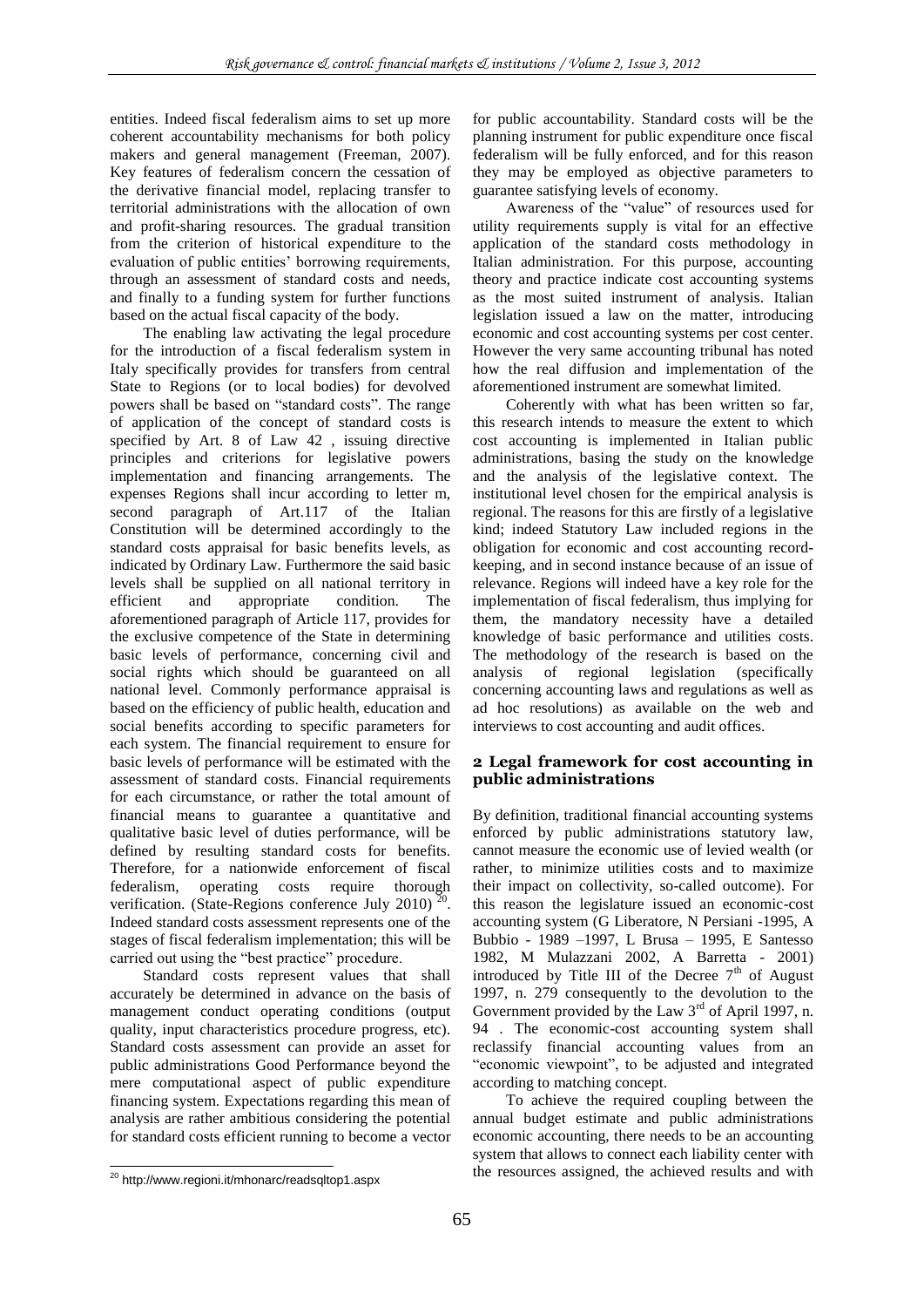entities. Indeed fiscal federalism aims to set up more coherent accountability mechanisms for both policy makers and general management (Freeman, 2007). Key features of federalism concern the cessation of the derivative financial model, replacing transfer to territorial administrations with the allocation of own and profit-sharing resources. The gradual transition from the criterion of historical expenditure to the evaluation of public entities' borrowing requirements, through an assessment of standard costs and needs, and finally to a funding system for further functions based on the actual fiscal capacity of the body.

The enabling law activating the legal procedure for the introduction of a fiscal federalism system in Italy specifically provides for transfers from central State to Regions (or to local bodies) for devolved powers shall be based on "standard costs". The range of application of the concept of standard costs is specified by Art. 8 of Law 42 , issuing directive principles and criterions for legislative powers implementation and financing arrangements. The expenses Regions shall incur according to letter m, second paragraph of Art.117 of the Italian Constitution will be determined accordingly to the standard costs appraisal for basic benefits levels, as indicated by Ordinary Law. Furthermore the said basic levels shall be supplied on all national territory in efficient and appropriate condition. The aforementioned paragraph of Article 117, provides for the exclusive competence of the State in determining basic levels of performance, concerning civil and social rights which should be guaranteed on all national level. Commonly performance appraisal is based on the efficiency of public health, education and social benefits according to specific parameters for each system. The financial requirement to ensure for basic levels of performance will be estimated with the assessment of standard costs. Financial requirements for each circumstance, or rather the total amount of financial means to guarantee a quantitative and qualitative basic level of duties performance, will be defined by resulting standard costs for benefits. Therefore, for a nationwide enforcement of fiscal federalism, operating costs require thorough verification. (State-Regions conference July 2010) ' . Indeed standard costs assessment represents one of the stages of fiscal federalism implementation; this will be carried out using the "best practice" procedure.

Standard costs represent values that shall accurately be determined in advance on the basis of management conduct operating conditions (output quality, input characteristics procedure progress, etc). Standard costs assessment can provide an asset for public administrations Good Performance beyond the mere computational aspect of public expenditure financing system. Expectations regarding this mean of analysis are rather ambitious considering the potential for standard costs efficient running to become a vector for public accountability. Standard costs will be the planning instrument for public expenditure once fiscal federalism will be fully enforced, and for this reason they may be employed as objective parameters to guarantee satisfying levels of economy.

Awareness of the "value" of resources used for utility requirements supply is vital for an effective application of the standard costs methodology in Italian administration. For this purpose, accounting theory and practice indicate cost accounting systems as the most suited instrument of analysis. Italian legislation issued a law on the matter, introducing economic and cost accounting systems per cost center. However the very same accounting tribunal has noted how the real diffusion and implementation of the aforementioned instrument are somewhat limited.

Coherently with what has been written so far, this research intends to measure the extent to which cost accounting is implemented in Italian public administrations, basing the study on the knowledge and the analysis of the legislative context. The institutional level chosen for the empirical analysis is regional. The reasons for this are firstly of a legislative kind; indeed Statutory Law included regions in the obligation for economic and cost accounting recordkeeping, and in second instance because of an issue of relevance. Regions will indeed have a key role for the implementation of fiscal federalism, thus implying for them, the mandatory necessity have a detailed knowledge of basic performance and utilities costs. The methodology of the research is based on the analysis of regional legislation (specifically concerning accounting laws and regulations as well as ad hoc resolutions) as available on the web and interviews to cost accounting and audit offices.

# **2 Legal framework for cost accounting in public administrations**

By definition, traditional financial accounting systems enforced by public administrations statutory law, cannot measure the economic use of levied wealth (or rather, to minimize utilities costs and to maximize their impact on collectivity, so-called outcome). For this reason the legislature issued an economic-cost accounting system (G Liberatore, N Persiani -1995, A Bubbio - 1989 –1997, L Brusa – 1995, E Santesso 1982, M Mulazzani 2002, A Barretta - 2001) introduced by Title III of the Decree  $7<sup>th</sup>$  of August 1997, n. 279 consequently to the devolution to the Government provided by the Law  $3<sup>rd</sup>$  of April 1997, n. 94 . The economic-cost accounting system shall reclassify financial accounting values from an "economic viewpoint", to be adjusted and integrated according to matching concept.

To achieve the required coupling between the annual budget estimate and public administrations economic accounting, there needs to be an accounting system that allows to connect each liability center with the resources assigned, the achieved results and with

 $\overline{a}$ <sup>20</sup> http://www.regioni.it/mhonarc/readsqltop1.aspx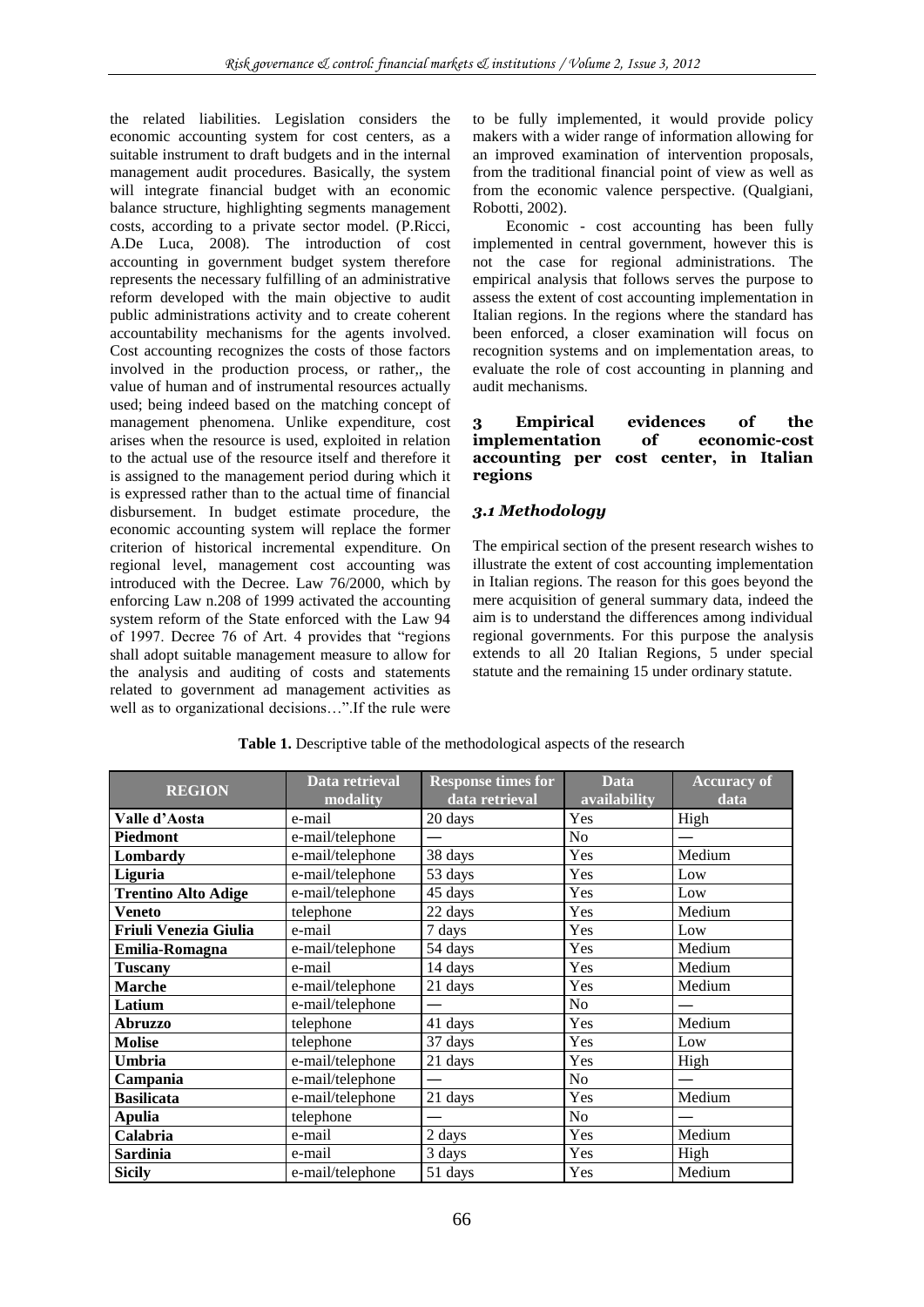the related liabilities. Legislation considers the economic accounting system for cost centers, as a suitable instrument to draft budgets and in the internal management audit procedures. Basically, the system will integrate financial budget with an economic balance structure, highlighting segments management costs, according to a private sector model. (P.Ricci, A.De Luca, 2008). The introduction of cost accounting in government budget system therefore represents the necessary fulfilling of an administrative reform developed with the main objective to audit public administrations activity and to create coherent accountability mechanisms for the agents involved. Cost accounting recognizes the costs of those factors involved in the production process, or rather,, the value of human and of instrumental resources actually used; being indeed based on the matching concept of management phenomena. Unlike expenditure, cost arises when the resource is used, exploited in relation to the actual use of the resource itself and therefore it is assigned to the management period during which it is expressed rather than to the actual time of financial disbursement. In budget estimate procedure, the economic accounting system will replace the former criterion of historical incremental expenditure. On regional level, management cost accounting was introduced with the Decree. Law 76/2000, which by enforcing Law n.208 of 1999 activated the accounting system reform of the State enforced with the Law 94 of 1997. Decree 76 of Art. 4 provides that "regions shall adopt suitable management measure to allow for the analysis and auditing of costs and statements related to government ad management activities as well as to organizational decisions…".If the rule were to be fully implemented, it would provide policy makers with a wider range of information allowing for an improved examination of intervention proposals, from the traditional financial point of view as well as from the economic valence perspective. (Qualgiani, Robotti, 2002).

Economic - cost accounting has been fully implemented in central government, however this is not the case for regional administrations. The empirical analysis that follows serves the purpose to assess the extent of cost accounting implementation in Italian regions. In the regions where the standard has been enforced, a closer examination will focus on recognition systems and on implementation areas, to evaluate the role of cost accounting in planning and audit mechanisms.

### **3 Empirical evidences of the implementation of economic-cost accounting per cost center, in Italian regions**

# *3.1 Methodology*

The empirical section of the present research wishes to illustrate the extent of cost accounting implementation in Italian regions. The reason for this goes beyond the mere acquisition of general summary data, indeed the aim is to understand the differences among individual regional governments. For this purpose the analysis extends to all 20 Italian Regions, 5 under special statute and the remaining 15 under ordinary statute.

| <b>REGION</b>                | Data retrieval<br>modality | <b>Response times for</b><br>data retrieval | <b>Data</b><br>availability | <b>Accuracy of</b><br>data |
|------------------------------|----------------------------|---------------------------------------------|-----------------------------|----------------------------|
| Valle d'Aosta                | e-mail                     | 20 days                                     | Yes                         | High                       |
| Piedmont                     | e-mail/telephone           |                                             | N <sub>o</sub>              |                            |
| Lombardy                     | e-mail/telephone           | 38 days                                     | Yes                         | Medium                     |
| Liguria                      | e-mail/telephone           | 53 days                                     | Yes                         | Low                        |
| <b>Trentino Alto Adige</b>   | e-mail/telephone           | 45 days                                     | Yes                         | Low                        |
| Veneto                       | telephone                  | 22 days                                     | Yes                         | Medium                     |
| <b>Friuli Venezia Giulia</b> | e-mail                     | 7 days                                      | Yes                         | Low                        |
| Emilia-Romagna               | e-mail/telephone           | 54 days                                     | Yes                         | Medium                     |
| Tuscany                      | e-mail                     | 14 days                                     | Yes                         | Medium                     |
| <b>Marche</b>                | e-mail/telephone           | 21 days                                     | Yes                         | Medium                     |
| Latium                       | e-mail/telephone           |                                             | N <sub>o</sub>              |                            |
| <b>Abruzzo</b>               | telephone                  | 41 days                                     | Yes                         | Medium                     |
| <b>Molise</b>                | telephone                  | 37 days                                     | Yes                         | Low                        |
| Umbria                       | e-mail/telephone           | 21 days                                     | Yes                         | High                       |
| Campania                     | e-mail/telephone           |                                             | N <sub>o</sub>              |                            |
| <b>Basilicata</b>            | e-mail/telephone           | 21 days                                     | Yes                         | Medium                     |
| <b>Apulia</b>                | telephone                  |                                             | N <sub>o</sub>              |                            |
| Calabria                     | e-mail                     | 2 days                                      | Yes                         | Medium                     |
| <b>Sardinia</b>              | e-mail                     | 3 days                                      | Yes                         | High                       |
| <b>Sicily</b>                | e-mail/telephone           | 51 days                                     | Yes                         | Medium                     |

**Table 1.** Descriptive table of the methodological aspects of the research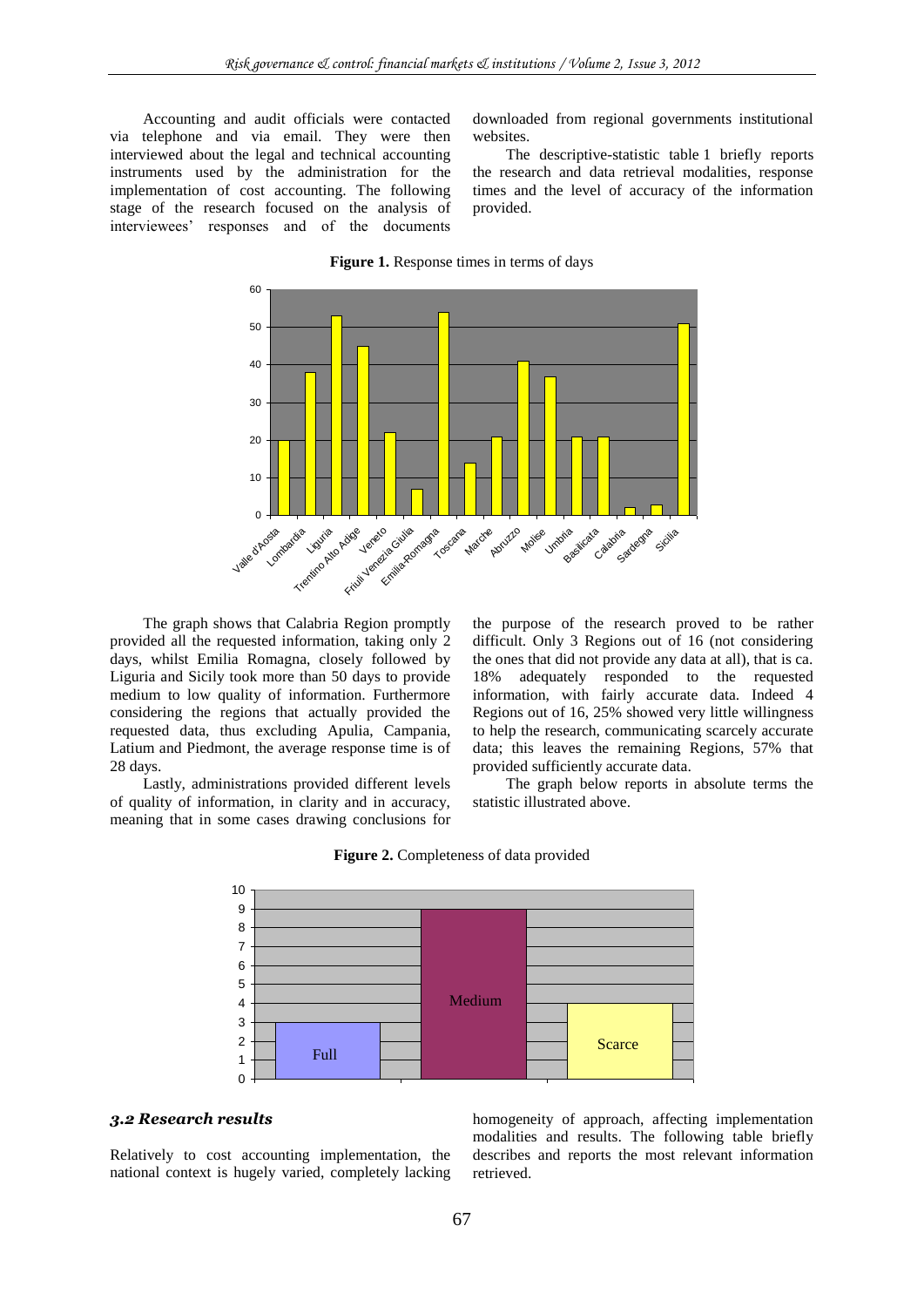Accounting and audit officials were contacted via telephone and via email. They were then interviewed about the legal and technical accounting instruments used by the administration for the implementation of cost accounting. The following stage of the research focused on the analysis of interviewees" responses and of the documents

downloaded from regional governments institutional websites.

The descriptive-statistic table 1 briefly reports the research and data retrieval modalities, response times and the level of accuracy of the information provided.



The graph shows that Calabria Region promptly provided all the requested information, taking only 2 days, whilst Emilia Romagna, closely followed by Liguria and Sicily took more than 50 days to provide medium to low quality of information. Furthermore considering the regions that actually provided the requested data, thus excluding Apulia, Campania, Latium and Piedmont, the average response time is of 28 days.

Lastly, administrations provided different levels of quality of information, in clarity and in accuracy, meaning that in some cases drawing conclusions for the purpose of the research proved to be rather difficult. Only 3 Regions out of 16 (not considering the ones that did not provide any data at all), that is ca. 18% adequately responded to the requested information, with fairly accurate data. Indeed 4 Regions out of 16, 25% showed very little willingness to help the research, communicating scarcely accurate data; this leaves the remaining Regions, 57% that provided sufficiently accurate data.

The graph below reports in absolute terms the statistic illustrated above.



### **Figure 2.** Completeness of data provided

### *3.2 Research results*

Relatively to cost accounting implementation, the national context is hugely varied, completely lacking

homogeneity of approach, affecting implementation modalities and results. The following table briefly describes and reports the most relevant information retrieved.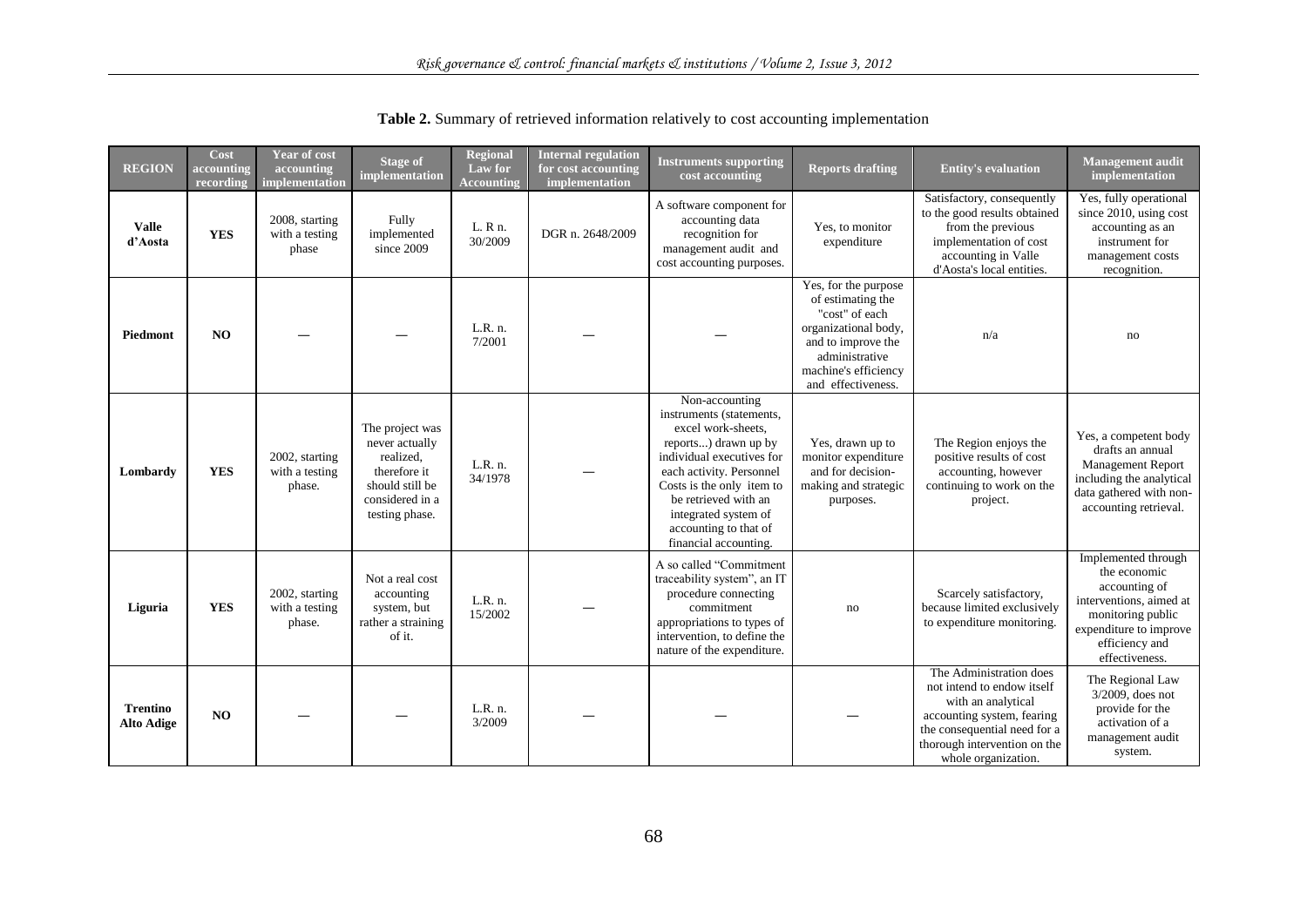| <b>REGION</b>                        | Cost<br>accounting<br>recording | <b>Year of cost</b><br>accounting<br>implementation | <b>Stage of</b><br>implementation                                                                                      | <b>Regional</b><br>Law for<br><b>Accounting</b> | <b>Internal regulation</b><br>for cost accounting<br>implementation | <b>Instruments supporting</b><br>cost accounting                                                                                                                                                                                                                                 | <b>Reports drafting</b>                                                                                                                                                   | <b>Entity's evaluation</b>                                                                                                                                                                       | <b>Management</b> audit<br>implementation                                                                                                                          |
|--------------------------------------|---------------------------------|-----------------------------------------------------|------------------------------------------------------------------------------------------------------------------------|-------------------------------------------------|---------------------------------------------------------------------|----------------------------------------------------------------------------------------------------------------------------------------------------------------------------------------------------------------------------------------------------------------------------------|---------------------------------------------------------------------------------------------------------------------------------------------------------------------------|--------------------------------------------------------------------------------------------------------------------------------------------------------------------------------------------------|--------------------------------------------------------------------------------------------------------------------------------------------------------------------|
| <b>Valle</b><br>d'Aosta              | <b>YES</b>                      | 2008, starting<br>with a testing<br>phase           | Fully<br>implemented<br>since 2009                                                                                     | L. R n.<br>30/2009                              | DGR n. 2648/2009                                                    | A software component for<br>accounting data<br>recognition for<br>management audit and<br>cost accounting purposes.                                                                                                                                                              | Yes, to monitor<br>expenditure                                                                                                                                            | Satisfactory, consequently<br>to the good results obtained<br>from the previous<br>implementation of cost<br>accounting in Valle<br>d'Aosta's local entities.                                    | Yes, fully operational<br>since 2010, using cost<br>accounting as an<br>instrument for<br>management costs<br>recognition.                                         |
| Piedmont                             | NO                              |                                                     |                                                                                                                        | L.R. n.<br>7/2001                               |                                                                     |                                                                                                                                                                                                                                                                                  | Yes, for the purpose<br>of estimating the<br>"cost" of each<br>organizational body,<br>and to improve the<br>administrative<br>machine's efficiency<br>and effectiveness. | n/a                                                                                                                                                                                              | no                                                                                                                                                                 |
| Lombardy                             | <b>YES</b>                      | 2002, starting<br>with a testing<br>phase.          | The project was<br>never actually<br>realized,<br>therefore it<br>should still be<br>considered in a<br>testing phase. | L.R. n.<br>34/1978                              |                                                                     | Non-accounting<br>instruments (statements,<br>excel work-sheets.<br>reports) drawn up by<br>individual executives for<br>each activity. Personnel<br>Costs is the only item to<br>be retrieved with an<br>integrated system of<br>accounting to that of<br>financial accounting. | Yes, drawn up to<br>monitor expenditure<br>and for decision-<br>making and strategic<br>purposes.                                                                         | The Region enjoys the<br>positive results of cost<br>accounting, however<br>continuing to work on the<br>project.                                                                                | Yes, a competent body<br>drafts an annual<br><b>Management Report</b><br>including the analytical<br>data gathered with non-<br>accounting retrieval.              |
| Liguria                              | <b>YES</b>                      | 2002, starting<br>with a testing<br>phase.          | Not a real cost<br>accounting<br>system, but<br>rather a straining<br>of it.                                           | L.R. n.<br>15/2002                              |                                                                     | A so called "Commitment<br>traceability system", an IT<br>procedure connecting<br>commitment<br>appropriations to types of<br>intervention, to define the<br>nature of the expenditure.                                                                                          | no                                                                                                                                                                        | Scarcely satisfactory,<br>because limited exclusively<br>to expenditure monitoring.                                                                                                              | Implemented through<br>the economic<br>accounting of<br>interventions, aimed at<br>monitoring public<br>expenditure to improve<br>efficiency and<br>effectiveness. |
| <b>Trentino</b><br><b>Alto Adige</b> | NO                              |                                                     |                                                                                                                        | L.R. n.<br>3/2009                               |                                                                     |                                                                                                                                                                                                                                                                                  |                                                                                                                                                                           | The Administration does<br>not intend to endow itself<br>with an analytical<br>accounting system, fearing<br>the consequential need for a<br>thorough intervention on the<br>whole organization. | The Regional Law<br>3/2009, does not<br>provide for the<br>activation of a<br>management audit<br>system.                                                          |

| Table 2. Summary of retrieved information relatively to cost accounting implementation |  |  |
|----------------------------------------------------------------------------------------|--|--|
|----------------------------------------------------------------------------------------|--|--|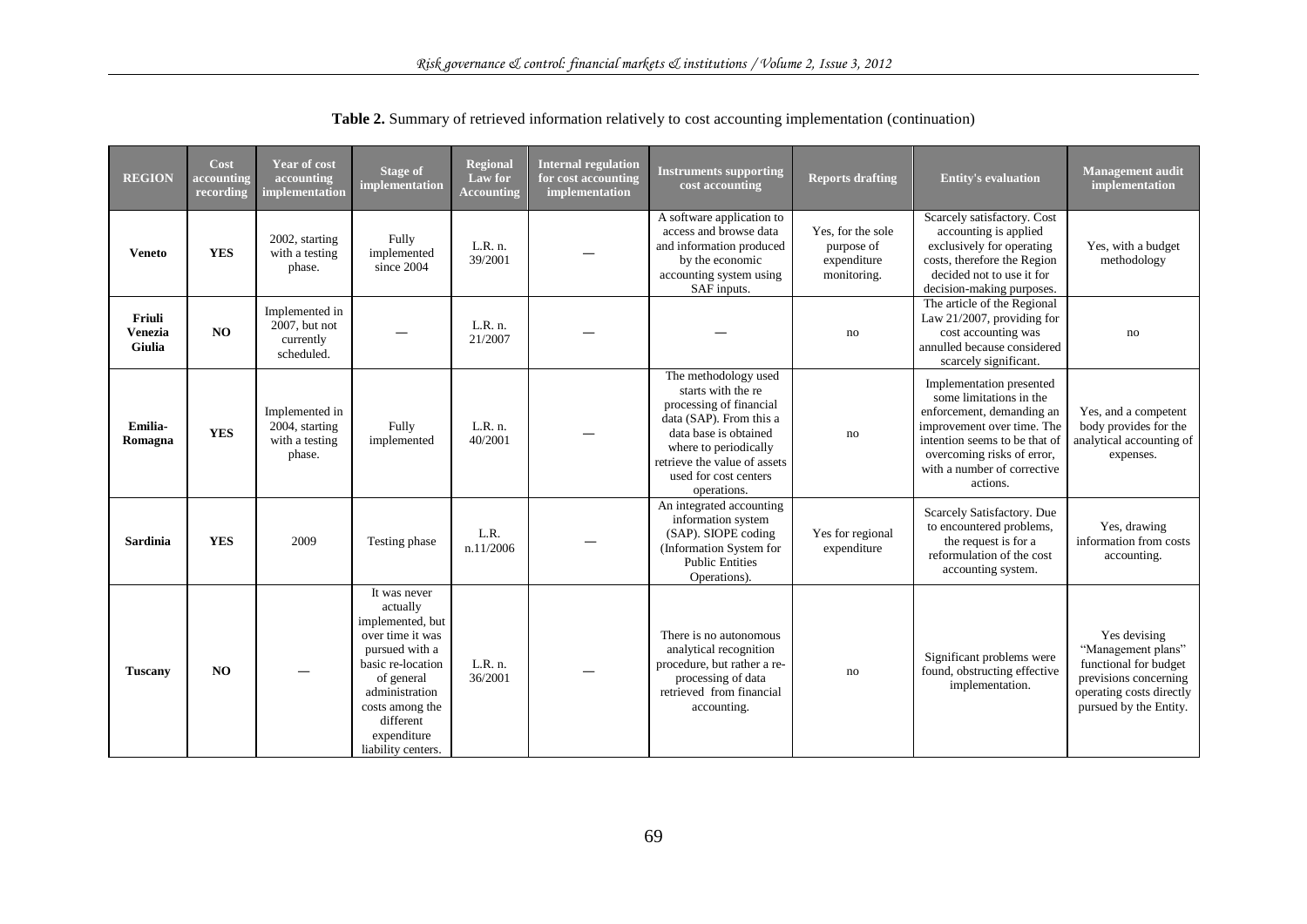| <b>REGION</b>                             | Cost<br>accounting<br>recording | <b>Year of cost</b><br>accounting<br>implementation           | <b>Stage of</b><br>implementation                                                                                                                                                                            | <b>Regional</b><br>Law for<br><b>Accounting</b> | <b>Internal regulation</b><br>for cost accounting<br>implementation | <b>Instruments supporting</b><br>cost accounting                                                                                                                                                                           | <b>Reports drafting</b>                                       | <b>Entity's evaluation</b>                                                                                                                                                                                               | <b>Management audit</b><br>implementation                                                                                                  |
|-------------------------------------------|---------------------------------|---------------------------------------------------------------|--------------------------------------------------------------------------------------------------------------------------------------------------------------------------------------------------------------|-------------------------------------------------|---------------------------------------------------------------------|----------------------------------------------------------------------------------------------------------------------------------------------------------------------------------------------------------------------------|---------------------------------------------------------------|--------------------------------------------------------------------------------------------------------------------------------------------------------------------------------------------------------------------------|--------------------------------------------------------------------------------------------------------------------------------------------|
| <b>Veneto</b>                             | <b>YES</b>                      | 2002, starting<br>with a testing<br>phase.                    | Fully<br>implemented<br>since 2004                                                                                                                                                                           | L.R. n.<br>39/2001                              |                                                                     | A software application to<br>access and browse data<br>and information produced<br>by the economic<br>accounting system using<br>SAF inputs.                                                                               | Yes, for the sole<br>purpose of<br>expenditure<br>monitoring. | Scarcely satisfactory. Cost<br>accounting is applied<br>exclusively for operating<br>costs, therefore the Region<br>decided not to use it for<br>decision-making purposes.                                               | Yes, with a budget<br>methodology                                                                                                          |
| Friuli<br><b>Venezia</b><br><b>Giulia</b> | NO                              | Implemented in<br>$2007$ , but not<br>currently<br>scheduled. |                                                                                                                                                                                                              | L.R. n.<br>21/2007                              |                                                                     |                                                                                                                                                                                                                            | no                                                            | The article of the Regional<br>Law $21/2007$ , providing for<br>cost accounting was<br>annulled because considered<br>scarcely significant.                                                                              | no                                                                                                                                         |
| Emilia-<br>Romagna                        | <b>YES</b>                      | Implemented in<br>2004, starting<br>with a testing<br>phase.  | Fully<br>implemented                                                                                                                                                                                         | L.R. n.<br>40/2001                              |                                                                     | The methodology used<br>starts with the re<br>processing of financial<br>data (SAP). From this a<br>data base is obtained<br>where to periodically<br>retrieve the value of assets<br>used for cost centers<br>operations. | no                                                            | Implementation presented<br>some limitations in the<br>enforcement, demanding an<br>improvement over time. The<br>intention seems to be that of<br>overcoming risks of error,<br>with a number of corrective<br>actions. | Yes, and a competent<br>body provides for the<br>analytical accounting of<br>expenses.                                                     |
| Sardinia                                  | <b>YES</b>                      | 2009                                                          | Testing phase                                                                                                                                                                                                | L.R.<br>n.11/2006                               |                                                                     | An integrated accounting<br>information system<br>(SAP). SIOPE coding<br>(Information System for<br><b>Public Entities</b><br>Operations).                                                                                 | Yes for regional<br>expenditure                               | Scarcely Satisfactory. Due<br>to encountered problems,<br>the request is for a<br>reformulation of the cost<br>accounting system.                                                                                        | Yes, drawing<br>information from costs<br>accounting.                                                                                      |
| <b>Tuscany</b>                            | NO                              |                                                               | It was never<br>actually<br>implemented, but<br>over time it was<br>pursued with a<br>basic re-location<br>of general<br>administration<br>costs among the<br>different<br>expenditure<br>liability centers. | L.R. n.<br>36/2001                              |                                                                     | There is no autonomous<br>analytical recognition<br>procedure, but rather a re-<br>processing of data<br>retrieved from financial<br>accounting.                                                                           | no                                                            | Significant problems were<br>found, obstructing effective<br>implementation.                                                                                                                                             | Yes devising<br>"Management plans"<br>functional for budget<br>previsions concerning<br>operating costs directly<br>pursued by the Entity. |

**Table 2.** Summary of retrieved information relatively to cost accounting implementation (continuation)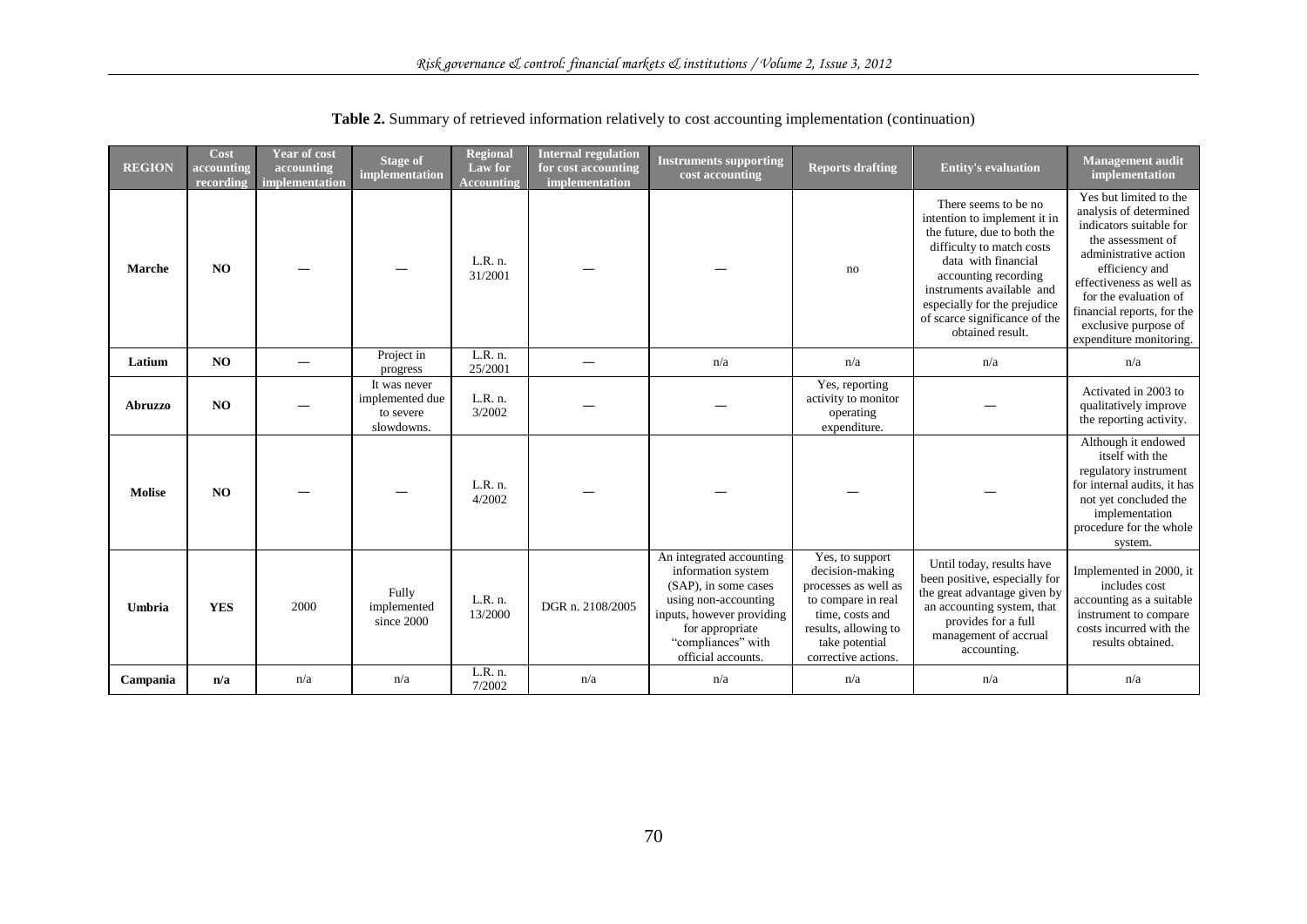| <b>REGION</b>  | Cost<br>accounting<br>recording | <b>Year of cost</b><br>accounting<br>implementation | <b>Stage of</b><br>implementation                          | <b>Regional</b><br>Law for<br><b>Accounting</b> | <b>Internal regulation</b><br>for cost accounting<br>implementation | <b>Instruments supporting</b><br>cost accounting                                                                                                                                           | <b>Reports drafting</b>                                                                                                                                              | <b>Entity's evaluation</b>                                                                                                                                                                                                                                                        | <b>Management</b> audit<br>implementation                                                                                                                                                                                                                                         |
|----------------|---------------------------------|-----------------------------------------------------|------------------------------------------------------------|-------------------------------------------------|---------------------------------------------------------------------|--------------------------------------------------------------------------------------------------------------------------------------------------------------------------------------------|----------------------------------------------------------------------------------------------------------------------------------------------------------------------|-----------------------------------------------------------------------------------------------------------------------------------------------------------------------------------------------------------------------------------------------------------------------------------|-----------------------------------------------------------------------------------------------------------------------------------------------------------------------------------------------------------------------------------------------------------------------------------|
| <b>Marche</b>  | NO                              |                                                     |                                                            | L.R. n.<br>31/2001                              |                                                                     |                                                                                                                                                                                            | no                                                                                                                                                                   | There seems to be no<br>intention to implement it in<br>the future, due to both the<br>difficulty to match costs<br>data with financial<br>accounting recording<br>instruments available and<br>especially for the prejudice<br>of scarce significance of the<br>obtained result. | Yes but limited to the<br>analysis of determined<br>indicators suitable for<br>the assessment of<br>administrative action<br>efficiency and<br>effectiveness as well as<br>for the evaluation of<br>financial reports, for the<br>exclusive purpose of<br>expenditure monitoring. |
| Latium         | NO                              |                                                     | Project in<br>progress                                     | L.R. n.<br>25/2001                              |                                                                     | n/a                                                                                                                                                                                        | n/a                                                                                                                                                                  | n/a                                                                                                                                                                                                                                                                               | n/a                                                                                                                                                                                                                                                                               |
| <b>Abruzzo</b> | NO.                             |                                                     | It was never<br>implemented due<br>to severe<br>slowdowns. | L.R. n.<br>3/2002                               |                                                                     |                                                                                                                                                                                            | Yes, reporting<br>activity to monitor<br>operating<br>expenditure.                                                                                                   |                                                                                                                                                                                                                                                                                   | Activated in 2003 to<br>qualitatively improve<br>the reporting activity.                                                                                                                                                                                                          |
| <b>Molise</b>  | NO                              |                                                     |                                                            | L.R. n.<br>4/2002                               |                                                                     |                                                                                                                                                                                            |                                                                                                                                                                      |                                                                                                                                                                                                                                                                                   | Although it endowed<br>itself with the<br>regulatory instrument<br>for internal audits, it has<br>not yet concluded the<br>implementation<br>procedure for the whole<br>system.                                                                                                   |
| Umbria         | <b>YES</b>                      | 2000                                                | Fully<br>implemented<br>since 2000                         | L.R. n.<br>13/2000                              | DGR n. 2108/2005                                                    | An integrated accounting<br>information system<br>(SAP), in some cases<br>using non-accounting<br>inputs, however providing<br>for appropriate<br>"compliances" with<br>official accounts. | Yes, to support<br>decision-making<br>processes as well as<br>to compare in real<br>time, costs and<br>results, allowing to<br>take potential<br>corrective actions. | Until today, results have<br>been positive, especially for<br>the great advantage given by<br>an accounting system, that<br>provides for a full<br>management of accrual<br>accounting.                                                                                           | Implemented in 2000, it<br>includes cost<br>accounting as a suitable<br>instrument to compare<br>costs incurred with the<br>results obtained.                                                                                                                                     |
| Campania       | n/a                             | n/a                                                 | n/a                                                        | L.R. n.<br>7/2002                               | n/a                                                                 | n/a                                                                                                                                                                                        | n/a                                                                                                                                                                  | n/a                                                                                                                                                                                                                                                                               | n/a                                                                                                                                                                                                                                                                               |

**Table 2.** Summary of retrieved information relatively to cost accounting implementation (continuation)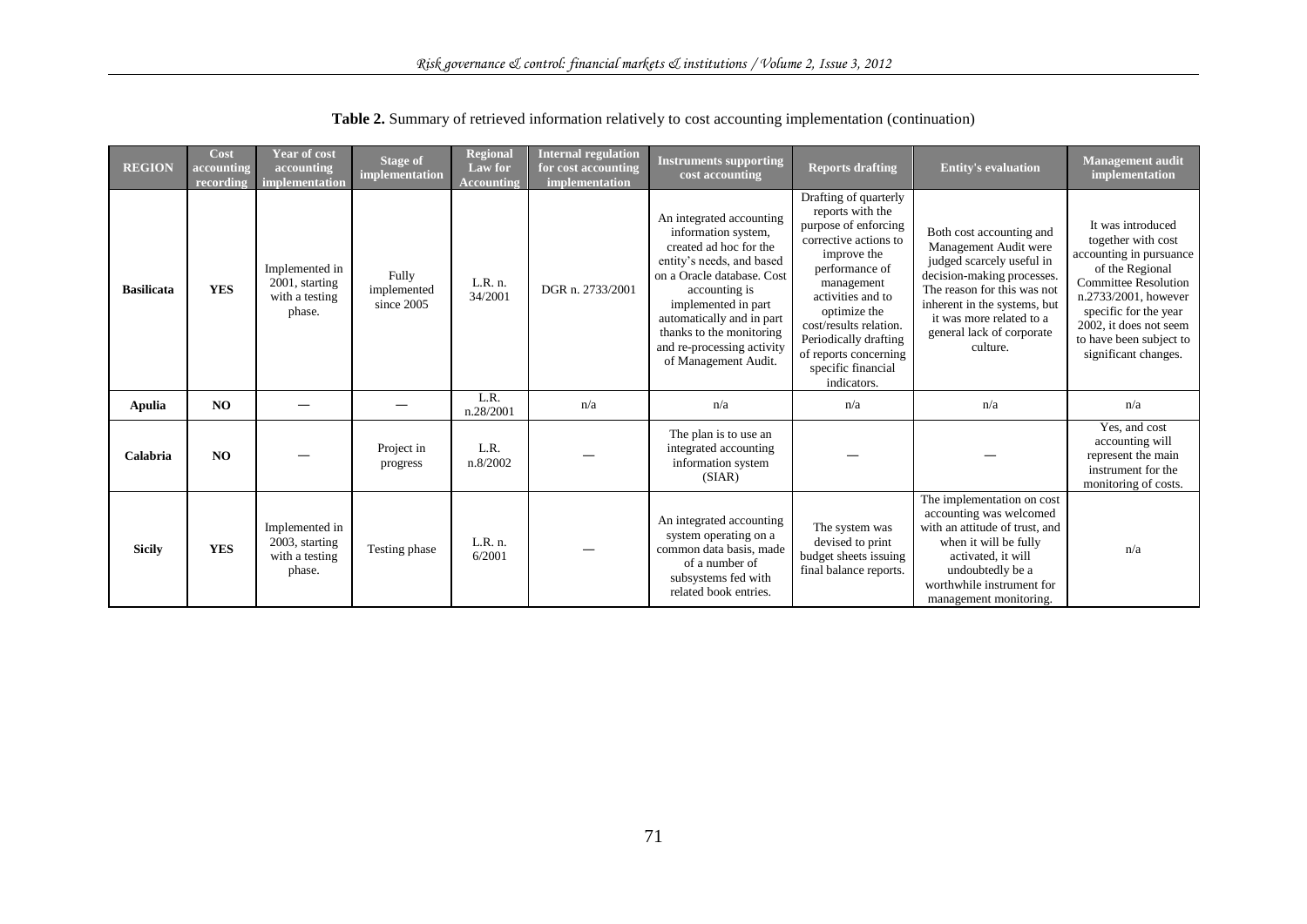| <b>REGION</b>     | Cost<br>accounting<br>recording | <b>Year of cost</b><br>accounting<br>implementation          | <b>Stage of</b><br>implementation  | <b>Regional</b><br>Law for<br><b>Accounting</b> | <b>Internal regulation</b><br>for cost accounting<br>implementation | <b>Instruments supporting</b><br>cost accounting                                                                                                                                                                                                                                            | <b>Reports drafting</b>                                                                                                                                                                                                                                                                         | <b>Entity's evaluation</b>                                                                                                                                                                                                                       | <b>Management audit</b><br>implementation                                                                                                                                                                                                          |
|-------------------|---------------------------------|--------------------------------------------------------------|------------------------------------|-------------------------------------------------|---------------------------------------------------------------------|---------------------------------------------------------------------------------------------------------------------------------------------------------------------------------------------------------------------------------------------------------------------------------------------|-------------------------------------------------------------------------------------------------------------------------------------------------------------------------------------------------------------------------------------------------------------------------------------------------|--------------------------------------------------------------------------------------------------------------------------------------------------------------------------------------------------------------------------------------------------|----------------------------------------------------------------------------------------------------------------------------------------------------------------------------------------------------------------------------------------------------|
| <b>Basilicata</b> | <b>YES</b>                      | Implemented in<br>2001, starting<br>with a testing<br>phase. | Fully<br>implemented<br>since 2005 | L.R. n.<br>34/2001                              | DGR n. 2733/2001                                                    | An integrated accounting<br>information system,<br>created ad hoc for the<br>entity's needs, and based<br>on a Oracle database. Cost<br>accounting is<br>implemented in part<br>automatically and in part<br>thanks to the monitoring<br>and re-processing activity<br>of Management Audit. | Drafting of quarterly<br>reports with the<br>purpose of enforcing<br>corrective actions to<br>improve the<br>performance of<br>management<br>activities and to<br>optimize the<br>cost/results relation.<br>Periodically drafting<br>of reports concerning<br>specific financial<br>indicators. | Both cost accounting and<br>Management Audit were<br>judged scarcely useful in<br>decision-making processes.<br>The reason for this was not<br>inherent in the systems, but<br>it was more related to a<br>general lack of corporate<br>culture. | It was introduced<br>together with cost<br>accounting in pursuance<br>of the Regional<br><b>Committee Resolution</b><br>n.2733/2001, however<br>specific for the year<br>2002, it does not seem<br>to have been subject to<br>significant changes. |
| <b>Apulia</b>     | <b>NO</b>                       |                                                              |                                    | L.R.<br>n.28/2001                               | n/a                                                                 | n/a                                                                                                                                                                                                                                                                                         | n/a                                                                                                                                                                                                                                                                                             | n/a                                                                                                                                                                                                                                              | n/a                                                                                                                                                                                                                                                |
| Calabria          | N <sub>O</sub>                  |                                                              | Project in<br>progress             | L.R.<br>n.8/2002                                |                                                                     | The plan is to use an<br>integrated accounting<br>information system<br>(SIAR)                                                                                                                                                                                                              |                                                                                                                                                                                                                                                                                                 |                                                                                                                                                                                                                                                  | Yes, and cost<br>accounting will<br>represent the main<br>instrument for the<br>monitoring of costs.                                                                                                                                               |
| <b>Sicily</b>     | <b>YES</b>                      | Implemented in<br>2003, starting<br>with a testing<br>phase. | Testing phase                      | L.R. n.<br>6/2001                               |                                                                     | An integrated accounting<br>system operating on a<br>common data basis, made<br>of a number of<br>subsystems fed with<br>related book entries.                                                                                                                                              | The system was<br>devised to print<br>budget sheets issuing<br>final balance reports.                                                                                                                                                                                                           | The implementation on cost<br>accounting was welcomed<br>with an attitude of trust, and<br>when it will be fully<br>activated, it will<br>undoubtedly be a<br>worthwhile instrument for<br>management monitoring.                                | n/a                                                                                                                                                                                                                                                |

**Table 2.** Summary of retrieved information relatively to cost accounting implementation (continuation)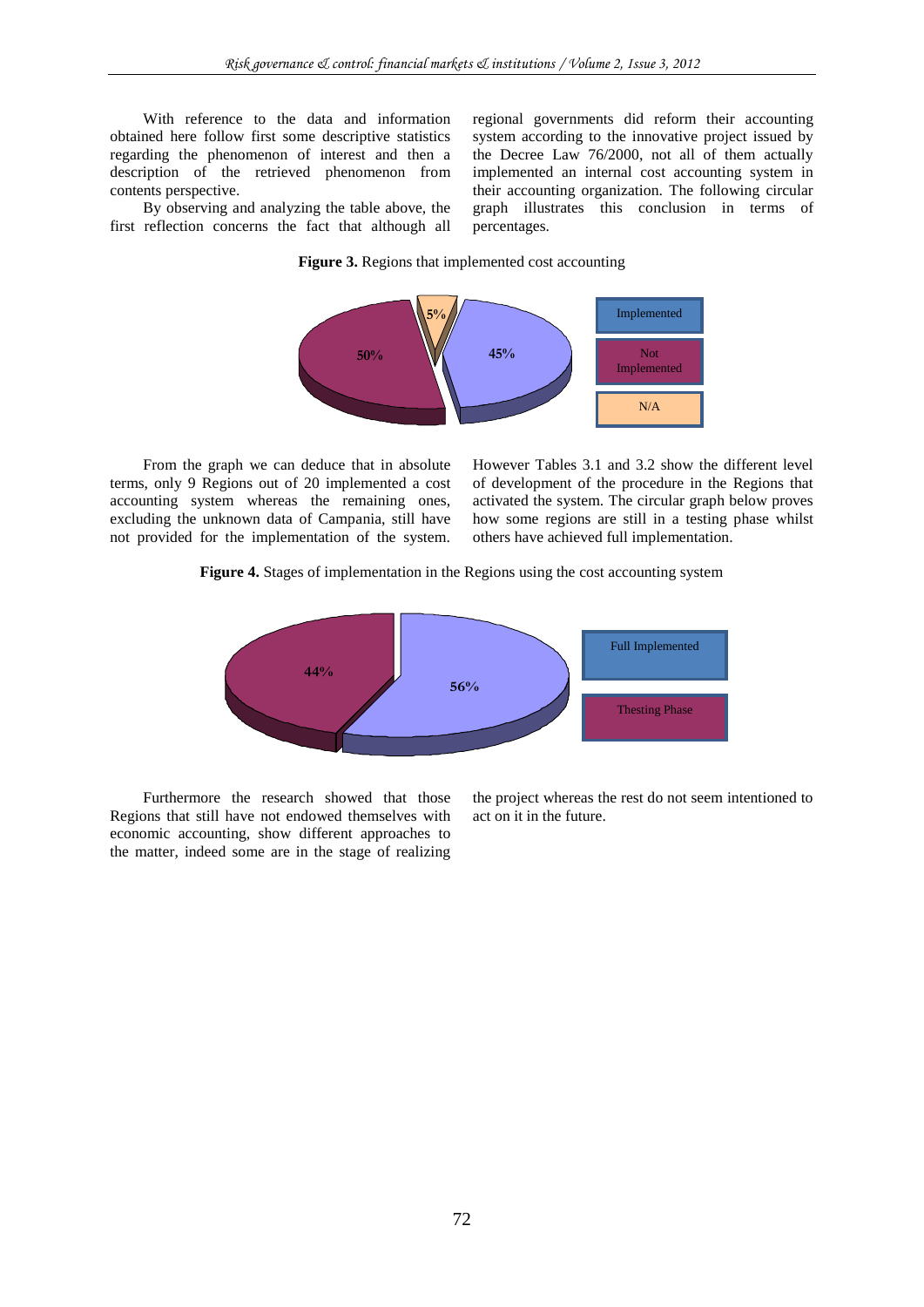With reference to the data and information obtained here follow first some descriptive statistics regarding the phenomenon of interest and then a description of the retrieved phenomenon from contents perspective.

By observing and analyzing the table above, the first reflection concerns the fact that although all regional governments did reform their accounting system according to the innovative project issued by the Decree Law 76/2000, not all of them actually implemented an internal cost accounting system in their accounting organization. The following circular graph illustrates this conclusion in terms of percentages.

### **Figure 3.** Regions that implemented cost accounting



From the graph we can deduce that in absolute terms, only 9 Regions out of 20 implemented a cost accounting system whereas the remaining ones, excluding the unknown data of Campania, still have not provided for the implementation of the system. However Tables 3.1 and 3.2 show the different level of development of the procedure in the Regions that activated the system. The circular graph below proves how some regions are still in a testing phase whilst others have achieved full implementation.

### **Figure 4.** Stages of implementation in the Regions using the cost accounting system



Furthermore the research showed that those Regions that still have not endowed themselves with economic accounting, show different approaches to the matter, indeed some are in the stage of realizing

the project whereas the rest do not seem intentioned to act on it in the future.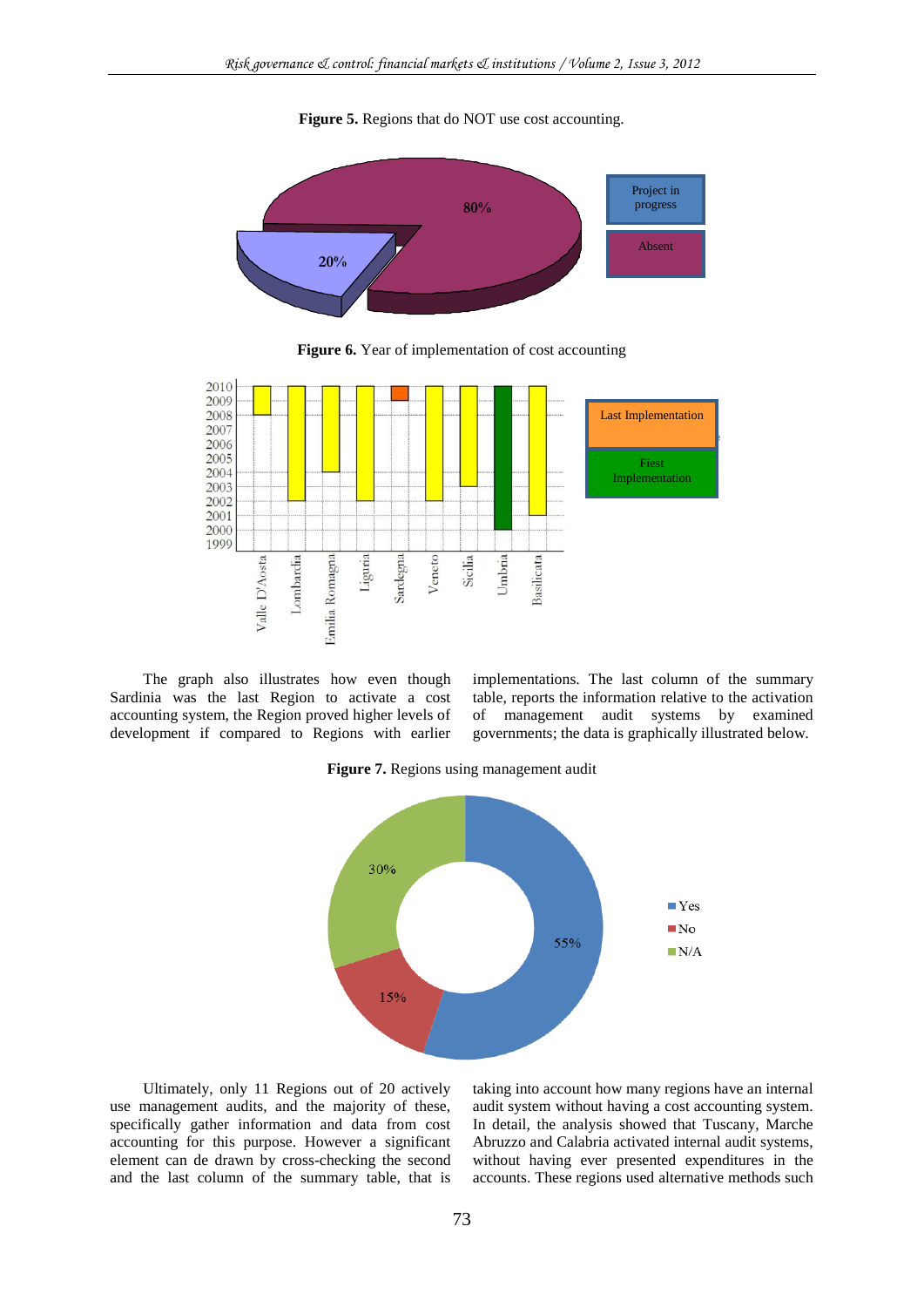**Figure 5.** Regions that do NOT use cost accounting.



**Figure 6.** Year of implementation of cost accounting



The graph also illustrates how even though Sardinia was the last Region to activate a cost accounting system, the Region proved higher levels of development if compared to Regions with earlier implementations. The last column of the summary table, reports the information relative to the activation of management audit systems by examined governments; the data is graphically illustrated below.

**Figure 7.** Regions using management audit



Ultimately, only 11 Regions out of 20 actively use management audits, and the majority of these, specifically gather information and data from cost accounting for this purpose. However a significant element can de drawn by cross-checking the second and the last column of the summary table, that is

taking into account how many regions have an internal audit system without having a cost accounting system. In detail, the analysis showed that Tuscany, Marche Abruzzo and Calabria activated internal audit systems, without having ever presented expenditures in the accounts. These regions used alternative methods such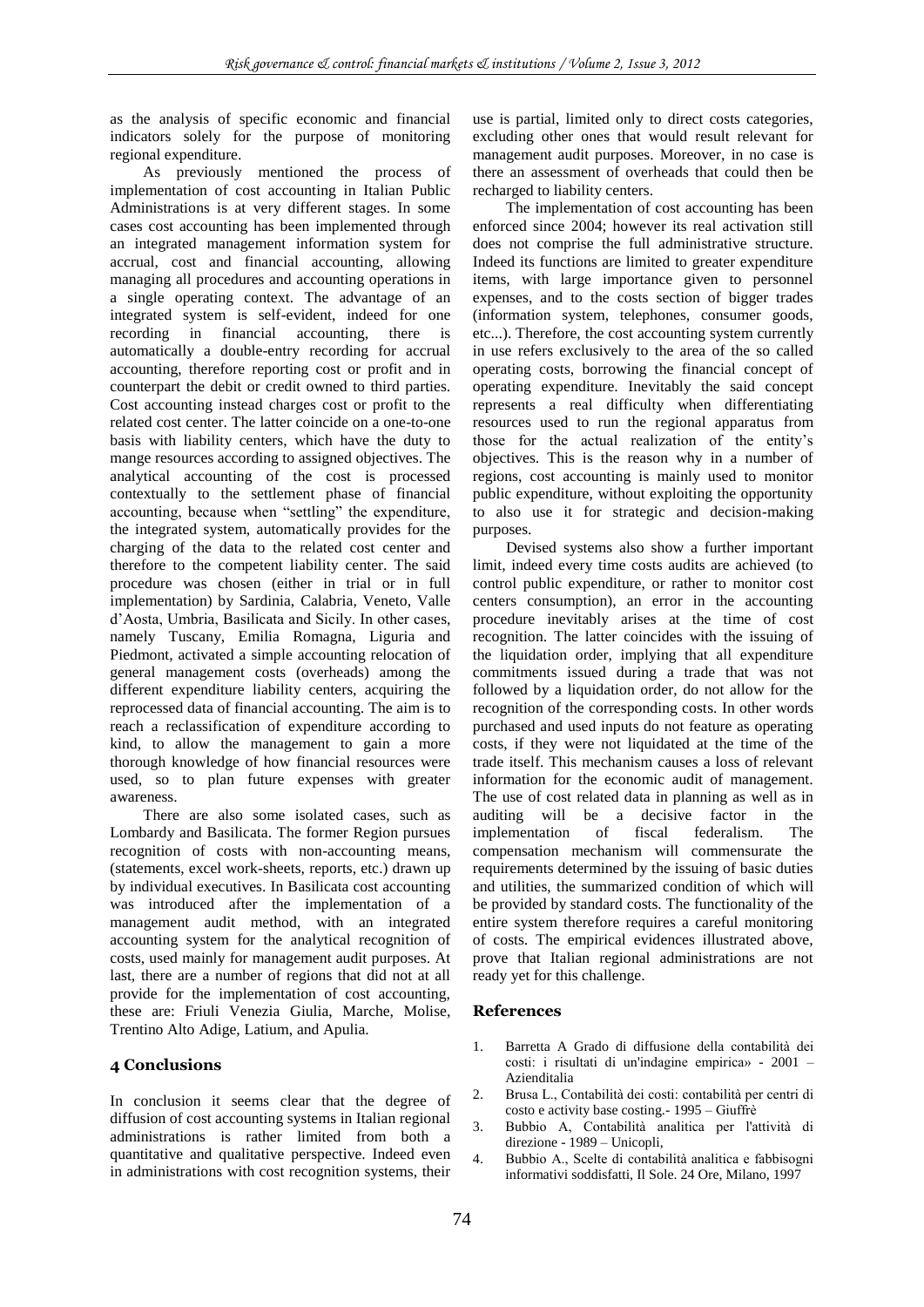as the analysis of specific economic and financial indicators solely for the purpose of monitoring regional expenditure.

As previously mentioned the process of implementation of cost accounting in Italian Public Administrations is at very different stages. In some cases cost accounting has been implemented through an integrated management information system for accrual, cost and financial accounting, allowing managing all procedures and accounting operations in a single operating context. The advantage of an integrated system is self-evident, indeed for one recording in financial accounting, there is automatically a double-entry recording for accrual accounting, therefore reporting cost or profit and in counterpart the debit or credit owned to third parties. Cost accounting instead charges cost or profit to the related cost center. The latter coincide on a one-to-one basis with liability centers, which have the duty to mange resources according to assigned objectives. The analytical accounting of the cost is processed contextually to the settlement phase of financial accounting, because when "settling" the expenditure, the integrated system, automatically provides for the charging of the data to the related cost center and therefore to the competent liability center. The said procedure was chosen (either in trial or in full implementation) by Sardinia, Calabria, Veneto, Valle d"Aosta, Umbria, Basilicata and Sicily. In other cases, namely Tuscany, Emilia Romagna, Liguria and Piedmont, activated a simple accounting relocation of general management costs (overheads) among the different expenditure liability centers, acquiring the reprocessed data of financial accounting. The aim is to reach a reclassification of expenditure according to kind, to allow the management to gain a more thorough knowledge of how financial resources were used, so to plan future expenses with greater awareness.

There are also some isolated cases, such as Lombardy and Basilicata. The former Region pursues recognition of costs with non-accounting means, (statements, excel work-sheets, reports, etc.) drawn up by individual executives. In Basilicata cost accounting was introduced after the implementation of a management audit method, with an integrated accounting system for the analytical recognition of costs, used mainly for management audit purposes. At last, there are a number of regions that did not at all provide for the implementation of cost accounting, these are: Friuli Venezia Giulia, Marche, Molise, Trentino Alto Adige, Latium, and Apulia.

### **4 Conclusions**

In conclusion it seems clear that the degree of diffusion of cost accounting systems in Italian regional administrations is rather limited from both a quantitative and qualitative perspective. Indeed even in administrations with cost recognition systems, their use is partial, limited only to direct costs categories, excluding other ones that would result relevant for management audit purposes. Moreover, in no case is there an assessment of overheads that could then be recharged to liability centers.

The implementation of cost accounting has been enforced since 2004; however its real activation still does not comprise the full administrative structure. Indeed its functions are limited to greater expenditure items, with large importance given to personnel expenses, and to the costs section of bigger trades (information system, telephones, consumer goods, etc...). Therefore, the cost accounting system currently in use refers exclusively to the area of the so called operating costs, borrowing the financial concept of operating expenditure. Inevitably the said concept represents a real difficulty when differentiating resources used to run the regional apparatus from those for the actual realization of the entity"s objectives. This is the reason why in a number of regions, cost accounting is mainly used to monitor public expenditure, without exploiting the opportunity to also use it for strategic and decision-making purposes.

Devised systems also show a further important limit, indeed every time costs audits are achieved (to control public expenditure, or rather to monitor cost centers consumption), an error in the accounting procedure inevitably arises at the time of cost recognition. The latter coincides with the issuing of the liquidation order, implying that all expenditure commitments issued during a trade that was not followed by a liquidation order, do not allow for the recognition of the corresponding costs. In other words purchased and used inputs do not feature as operating costs, if they were not liquidated at the time of the trade itself. This mechanism causes a loss of relevant information for the economic audit of management. The use of cost related data in planning as well as in auditing will be a decisive factor in the implementation of fiscal federalism. The compensation mechanism will commensurate the requirements determined by the issuing of basic duties and utilities, the summarized condition of which will be provided by standard costs. The functionality of the entire system therefore requires a careful monitoring of costs. The empirical evidences illustrated above, prove that Italian regional administrations are not ready yet for this challenge.

### **References**

- 1. Barretta A Grado di diffusione della contabilità dei costi: i risultati di un'indagine empirica» - 2001 – Azienditalia
- 2. Brusa L., Contabilità dei costi: contabilità per centri di costo e activity base costing.- 1995 – Giuffrè
- 3. Bubbio A, Contabilità analitica per l'attività di direzione - 1989 – Unicopli,
- 4. Bubbio A., Scelte di contabilità analitica e fabbisogni informativi soddisfatti, Il Sole. 24 Ore, Milano, 1997